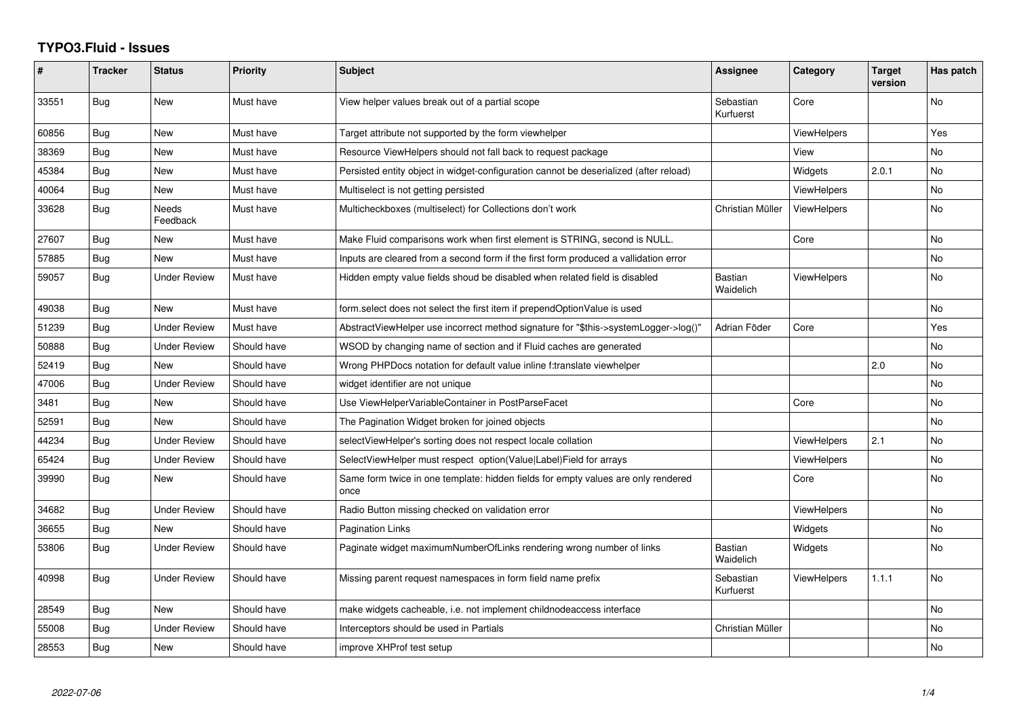## **TYPO3.Fluid - Issues**

| #     | <b>Tracker</b> | <b>Status</b>       | <b>Priority</b> | Subject                                                                                   | Assignee                    | Category           | <b>Target</b><br>version | Has patch      |
|-------|----------------|---------------------|-----------------|-------------------------------------------------------------------------------------------|-----------------------------|--------------------|--------------------------|----------------|
| 33551 | Bug            | New                 | Must have       | View helper values break out of a partial scope                                           | Sebastian<br>Kurfuerst      | Core               |                          | No             |
| 60856 | Bug            | <b>New</b>          | Must have       | Target attribute not supported by the form viewhelper                                     |                             | <b>ViewHelpers</b> |                          | Yes            |
| 38369 | Bug            | New                 | Must have       | Resource ViewHelpers should not fall back to request package                              |                             | View               |                          | No             |
| 45384 | Bug            | <b>New</b>          | Must have       | Persisted entity object in widget-configuration cannot be deserialized (after reload)     |                             | Widgets            | 2.0.1                    | N <sub>o</sub> |
| 40064 | Bug            | New                 | Must have       | Multiselect is not getting persisted                                                      |                             | <b>ViewHelpers</b> |                          | No             |
| 33628 | Bug            | Needs<br>Feedback   | Must have       | Multicheckboxes (multiselect) for Collections don't work                                  | Christian Müller            | <b>ViewHelpers</b> |                          | <b>No</b>      |
| 27607 | Bug            | New                 | Must have       | Make Fluid comparisons work when first element is STRING, second is NULL.                 |                             | Core               |                          | No.            |
| 57885 | Bug            | <b>New</b>          | Must have       | Inputs are cleared from a second form if the first form produced a vallidation error      |                             |                    |                          | No             |
| 59057 | Bug            | <b>Under Review</b> | Must have       | Hidden empty value fields shoud be disabled when related field is disabled                | <b>Bastian</b><br>Waidelich | <b>ViewHelpers</b> |                          | No             |
| 49038 | <b>Bug</b>     | <b>New</b>          | Must have       | form.select does not select the first item if prependOptionValue is used                  |                             |                    |                          | <b>No</b>      |
| 51239 | Bug            | <b>Under Review</b> | Must have       | AbstractViewHelper use incorrect method signature for "\$this->systemLogger->log()"       | Adrian Föder                | Core               |                          | Yes            |
| 50888 | <b>Bug</b>     | <b>Under Review</b> | Should have     | WSOD by changing name of section and if Fluid caches are generated                        |                             |                    |                          | No             |
| 52419 | <b>Bug</b>     | New                 | Should have     | Wrong PHPDocs notation for default value inline f:translate viewhelper                    |                             |                    | 2.0                      | <b>No</b>      |
| 47006 | <b>Bug</b>     | <b>Under Review</b> | Should have     | widget identifier are not unique                                                          |                             |                    |                          | No             |
| 3481  | <b>Bug</b>     | New                 | Should have     | Use ViewHelperVariableContainer in PostParseFacet                                         |                             | Core               |                          | No             |
| 52591 | Bug            | New                 | Should have     | The Pagination Widget broken for joined objects                                           |                             |                    |                          | No.            |
| 44234 | Bug            | <b>Under Review</b> | Should have     | selectViewHelper's sorting does not respect locale collation                              |                             | <b>ViewHelpers</b> | 2.1                      | No             |
| 65424 | <b>Bug</b>     | <b>Under Review</b> | Should have     | SelectViewHelper must respect option(Value Label)Field for arrays                         |                             | <b>ViewHelpers</b> |                          | No             |
| 39990 | Bug            | New                 | Should have     | Same form twice in one template: hidden fields for empty values are only rendered<br>once |                             | Core               |                          | No             |
| 34682 | Bug            | <b>Under Review</b> | Should have     | Radio Button missing checked on validation error                                          |                             | ViewHelpers        |                          | No.            |
| 36655 | <b>Bug</b>     | New                 | Should have     | <b>Pagination Links</b>                                                                   |                             | Widgets            |                          | No             |
| 53806 | Bug            | Under Review        | Should have     | Paginate widget maximumNumberOfLinks rendering wrong number of links                      | <b>Bastian</b><br>Waidelich | Widgets            |                          | No.            |
| 40998 | Bug            | <b>Under Review</b> | Should have     | Missing parent request namespaces in form field name prefix                               | Sebastian<br>Kurfuerst      | <b>ViewHelpers</b> | 1.1.1                    | No.            |
| 28549 | Bug            | <b>New</b>          | Should have     | make widgets cacheable, i.e. not implement childnodeaccess interface                      |                             |                    |                          | No             |
| 55008 | <b>Bug</b>     | Under Review        | Should have     | Interceptors should be used in Partials                                                   | Christian Müller            |                    |                          | No             |
| 28553 | <b>Bug</b>     | New                 | Should have     | improve XHProf test setup                                                                 |                             |                    |                          | No.            |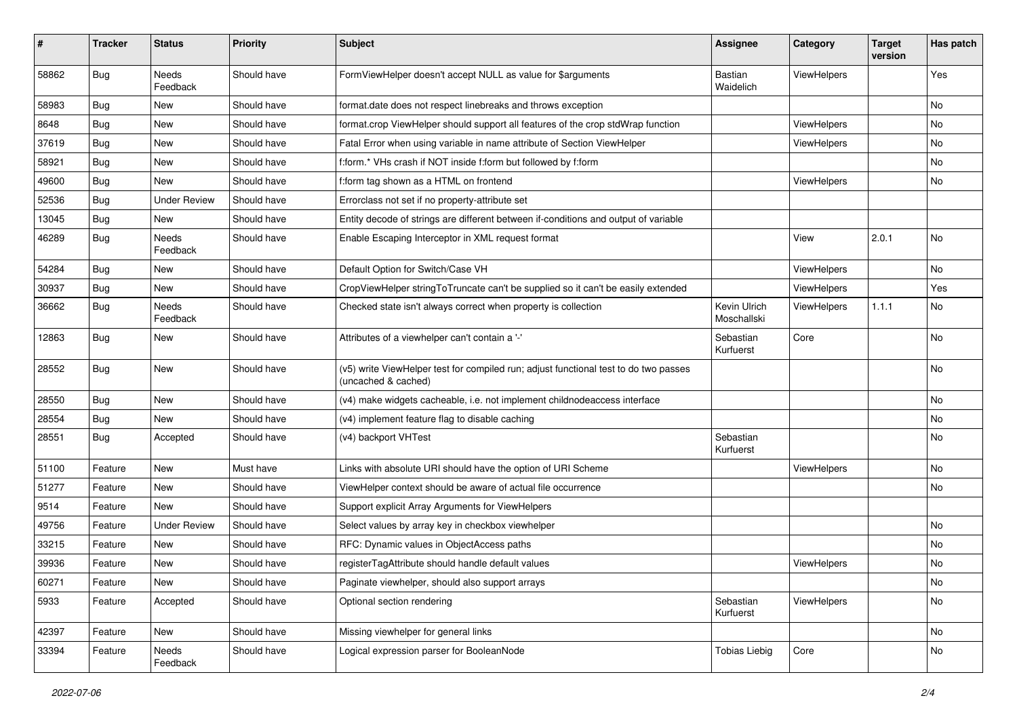| #     | <b>Tracker</b> | <b>Status</b>       | <b>Priority</b> | Subject                                                                                                     | <b>Assignee</b>             | Category           | <b>Target</b><br>version | Has patch |
|-------|----------------|---------------------|-----------------|-------------------------------------------------------------------------------------------------------------|-----------------------------|--------------------|--------------------------|-----------|
| 58862 | Bug            | Needs<br>Feedback   | Should have     | FormViewHelper doesn't accept NULL as value for \$arguments                                                 | <b>Bastian</b><br>Waidelich | ViewHelpers        |                          | Yes       |
| 58983 | Bug            | New                 | Should have     | format.date does not respect linebreaks and throws exception                                                |                             |                    |                          | No        |
| 8648  | Bug            | New                 | Should have     | format.crop ViewHelper should support all features of the crop stdWrap function                             |                             | <b>ViewHelpers</b> |                          | <b>No</b> |
| 37619 | Bug            | New                 | Should have     | Fatal Error when using variable in name attribute of Section ViewHelper                                     |                             | <b>ViewHelpers</b> |                          | No        |
| 58921 | Bug            | New                 | Should have     | f:form.* VHs crash if NOT inside f:form but followed by f:form                                              |                             |                    |                          | No        |
| 49600 | Bug            | New                 | Should have     | f:form tag shown as a HTML on frontend                                                                      |                             | ViewHelpers        |                          | No        |
| 52536 | Bug            | <b>Under Review</b> | Should have     | Errorclass not set if no property-attribute set                                                             |                             |                    |                          |           |
| 13045 | Bug            | New                 | Should have     | Entity decode of strings are different between if-conditions and output of variable                         |                             |                    |                          |           |
| 46289 | Bug            | Needs<br>Feedback   | Should have     | Enable Escaping Interceptor in XML request format                                                           |                             | View               | 2.0.1                    | No        |
| 54284 | Bug            | New                 | Should have     | Default Option for Switch/Case VH                                                                           |                             | ViewHelpers        |                          | No        |
| 30937 | Bug            | New                 | Should have     | CropViewHelper stringToTruncate can't be supplied so it can't be easily extended                            |                             | ViewHelpers        |                          | Yes       |
| 36662 | Bug            | Needs<br>Feedback   | Should have     | Checked state isn't always correct when property is collection                                              | Kevin Ulrich<br>Moschallski | ViewHelpers        | 1.1.1                    | No        |
| 12863 | Bug            | New                 | Should have     | Attributes of a viewhelper can't contain a '-'                                                              | Sebastian<br>Kurfuerst      | Core               |                          | No        |
| 28552 | Bug            | New                 | Should have     | (v5) write ViewHelper test for compiled run; adjust functional test to do two passes<br>(uncached & cached) |                             |                    |                          | No        |
| 28550 | Bug            | New                 | Should have     | (v4) make widgets cacheable, i.e. not implement childnodeaccess interface                                   |                             |                    |                          | No        |
| 28554 | Bug            | New                 | Should have     | (v4) implement feature flag to disable caching                                                              |                             |                    |                          | No        |
| 28551 | Bug            | Accepted            | Should have     | (v4) backport VHTest                                                                                        | Sebastian<br>Kurfuerst      |                    |                          | No        |
| 51100 | Feature        | New                 | Must have       | Links with absolute URI should have the option of URI Scheme                                                |                             | ViewHelpers        |                          | No        |
| 51277 | Feature        | New                 | Should have     | ViewHelper context should be aware of actual file occurrence                                                |                             |                    |                          | No        |
| 9514  | Feature        | New                 | Should have     | Support explicit Array Arguments for ViewHelpers                                                            |                             |                    |                          |           |
| 49756 | Feature        | <b>Under Review</b> | Should have     | Select values by array key in checkbox viewhelper                                                           |                             |                    |                          | No        |
| 33215 | Feature        | New                 | Should have     | RFC: Dynamic values in ObjectAccess paths                                                                   |                             |                    |                          | No        |
| 39936 | Feature        | New                 | Should have     | registerTagAttribute should handle default values                                                           |                             | ViewHelpers        |                          | No        |
| 60271 | Feature        | New                 | Should have     | Paginate viewhelper, should also support arrays                                                             |                             |                    |                          | No        |
| 5933  | Feature        | Accepted            | Should have     | Optional section rendering                                                                                  | Sebastian<br>Kurfuerst      | ViewHelpers        |                          | No        |
| 42397 | Feature        | New                 | Should have     | Missing viewhelper for general links                                                                        |                             |                    |                          | No        |
| 33394 | Feature        | Needs<br>Feedback   | Should have     | Logical expression parser for BooleanNode                                                                   | <b>Tobias Liebig</b>        | Core               |                          | No        |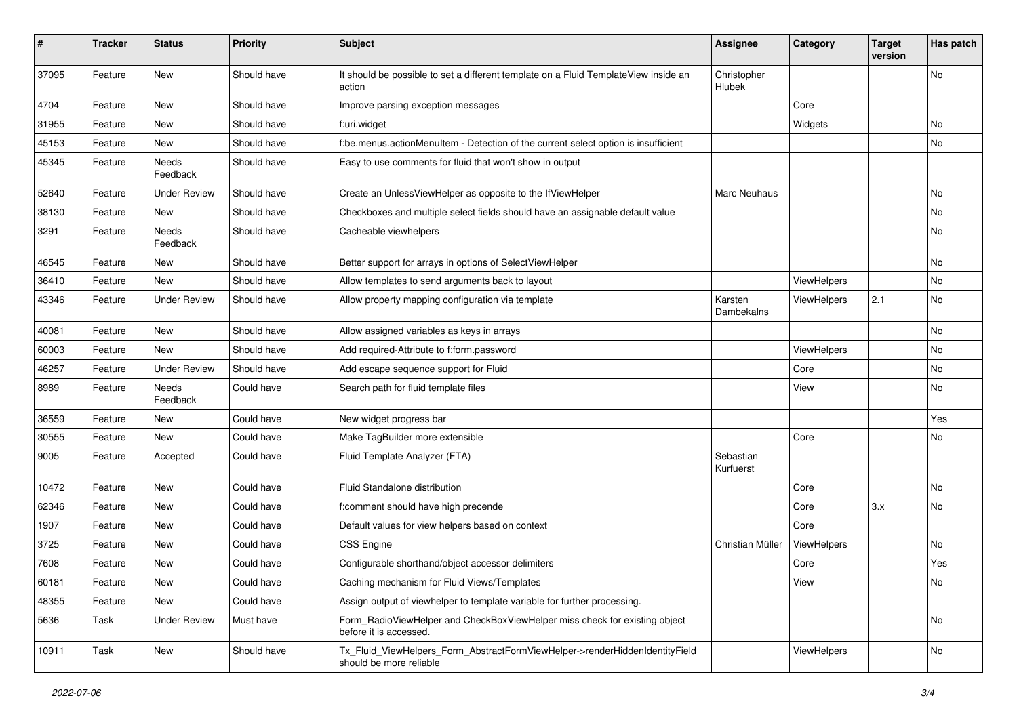| ∦     | <b>Tracker</b> | <b>Status</b>            | <b>Priority</b> | <b>Subject</b>                                                                                         | <b>Assignee</b>        | Category    | <b>Target</b><br>version | Has patch |
|-------|----------------|--------------------------|-----------------|--------------------------------------------------------------------------------------------------------|------------------------|-------------|--------------------------|-----------|
| 37095 | Feature        | New                      | Should have     | It should be possible to set a different template on a Fluid TemplateView inside an<br>action          | Christopher<br>Hlubek  |             |                          | No        |
| 4704  | Feature        | New                      | Should have     | Improve parsing exception messages                                                                     |                        | Core        |                          |           |
| 31955 | Feature        | <b>New</b>               | Should have     | f:uri.widget                                                                                           |                        | Widgets     |                          | No        |
| 45153 | Feature        | New                      | Should have     | f:be.menus.actionMenuItem - Detection of the current select option is insufficient                     |                        |             |                          | No        |
| 45345 | Feature        | <b>Needs</b><br>Feedback | Should have     | Easy to use comments for fluid that won't show in output                                               |                        |             |                          |           |
| 52640 | Feature        | <b>Under Review</b>      | Should have     | Create an UnlessViewHelper as opposite to the IfViewHelper                                             | <b>Marc Neuhaus</b>    |             |                          | No.       |
| 38130 | Feature        | New                      | Should have     | Checkboxes and multiple select fields should have an assignable default value                          |                        |             |                          | No        |
| 3291  | Feature        | Needs<br>Feedback        | Should have     | Cacheable viewhelpers                                                                                  |                        |             |                          | No        |
| 46545 | Feature        | New                      | Should have     | Better support for arrays in options of SelectViewHelper                                               |                        |             |                          | No        |
| 36410 | Feature        | New                      | Should have     | Allow templates to send arguments back to layout                                                       |                        | ViewHelpers |                          | No        |
| 43346 | Feature        | <b>Under Review</b>      | Should have     | Allow property mapping configuration via template                                                      | Karsten<br>Dambekalns  | ViewHelpers | 2.1                      | No        |
| 40081 | Feature        | <b>New</b>               | Should have     | Allow assigned variables as keys in arrays                                                             |                        |             |                          | No.       |
| 60003 | Feature        | New                      | Should have     | Add required-Attribute to f:form.password                                                              |                        | ViewHelpers |                          | No        |
| 46257 | Feature        | <b>Under Review</b>      | Should have     | Add escape sequence support for Fluid                                                                  |                        | Core        |                          | No        |
| 8989  | Feature        | Needs<br>Feedback        | Could have      | Search path for fluid template files                                                                   |                        | View        |                          | No        |
| 36559 | Feature        | New                      | Could have      | New widget progress bar                                                                                |                        |             |                          | Yes       |
| 30555 | Feature        | <b>New</b>               | Could have      | Make TagBuilder more extensible                                                                        |                        | Core        |                          | No        |
| 9005  | Feature        | Accepted                 | Could have      | Fluid Template Analyzer (FTA)                                                                          | Sebastian<br>Kurfuerst |             |                          |           |
| 10472 | Feature        | New                      | Could have      | Fluid Standalone distribution                                                                          |                        | Core        |                          | No        |
| 62346 | Feature        | New                      | Could have      | f:comment should have high precende                                                                    |                        | Core        | 3.x                      | No        |
| 1907  | Feature        | New                      | Could have      | Default values for view helpers based on context                                                       |                        | Core        |                          |           |
| 3725  | Feature        | New                      | Could have      | <b>CSS Engine</b>                                                                                      | Christian Müller       | ViewHelpers |                          | <b>No</b> |
| 7608  | Feature        | New                      | Could have      | Configurable shorthand/object accessor delimiters                                                      |                        | Core        |                          | Yes       |
| 60181 | Feature        | New                      | Could have      | Caching mechanism for Fluid Views/Templates                                                            |                        | View        |                          | No        |
| 48355 | Feature        | New                      | Could have      | Assign output of viewhelper to template variable for further processing.                               |                        |             |                          |           |
| 5636  | Task           | <b>Under Review</b>      | Must have       | Form RadioViewHelper and CheckBoxViewHelper miss check for existing object<br>before it is accessed.   |                        |             |                          | No        |
| 10911 | Task           | New                      | Should have     | Tx Fluid ViewHelpers Form AbstractFormViewHelper->renderHiddenIdentityField<br>should be more reliable |                        | ViewHelpers |                          | No        |